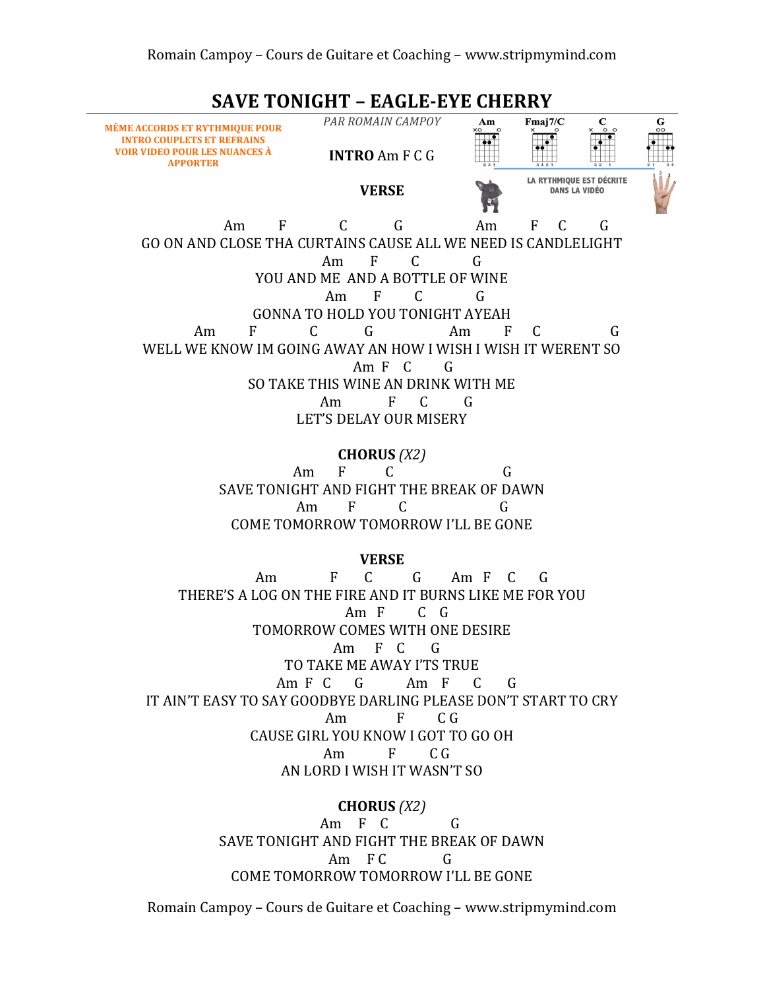**SAVE TONIGHT - EAGLE-EYE CHERRY** 



COME TOMORROW TOMORROW I'LL BE GONE

Romain Campoy – Cours de Guitare et Coaching – www.stripmymind.com